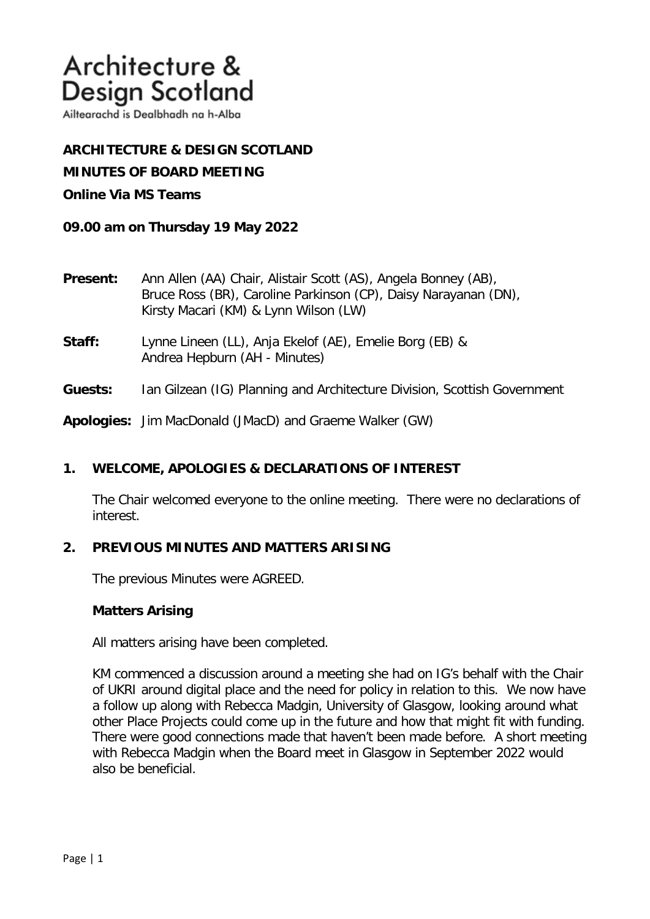Ailtearachd is Dealbhadh na h-Alba

**ARCHITECTURE & DESIGN SCOTLAND MINUTES OF BOARD MEETING Online Via MS Teams**

**09.00 am on Thursday 19 May 2022**

- **Present:** Ann Allen (AA) Chair, Alistair Scott (AS), Angela Bonney (AB), Bruce Ross (BR), Caroline Parkinson (CP), Daisy Narayanan (DN), Kirsty Macari (KM) & Lynn Wilson (LW)
- **Staff:** Lynne Lineen (LL), Anja Ekelof (AE), Emelie Borg (EB) & Andrea Hepburn (AH - Minutes)
- **Guests:** Ian Gilzean (IG) Planning and Architecture Division, Scottish Government

**Apologies:** Jim MacDonald (JMacD) and Graeme Walker (GW)

## **1. WELCOME, APOLOGIES & DECLARATIONS OF INTEREST**

The Chair welcomed everyone to the online meeting. There were no declarations of interest.

## **2. PREVIOUS MINUTES AND MATTERS ARISING**

The previous Minutes were AGREED.

### **Matters Arising**

All matters arising have been completed.

KM commenced a discussion around a meeting she had on IG's behalf with the Chair of UKRI around digital place and the need for policy in relation to this. We now have a follow up along with Rebecca Madgin, University of Glasgow, looking around what other Place Projects could come up in the future and how that might fit with funding. There were good connections made that haven't been made before. A short meeting with Rebecca Madgin when the Board meet in Glasgow in September 2022 would also be beneficial.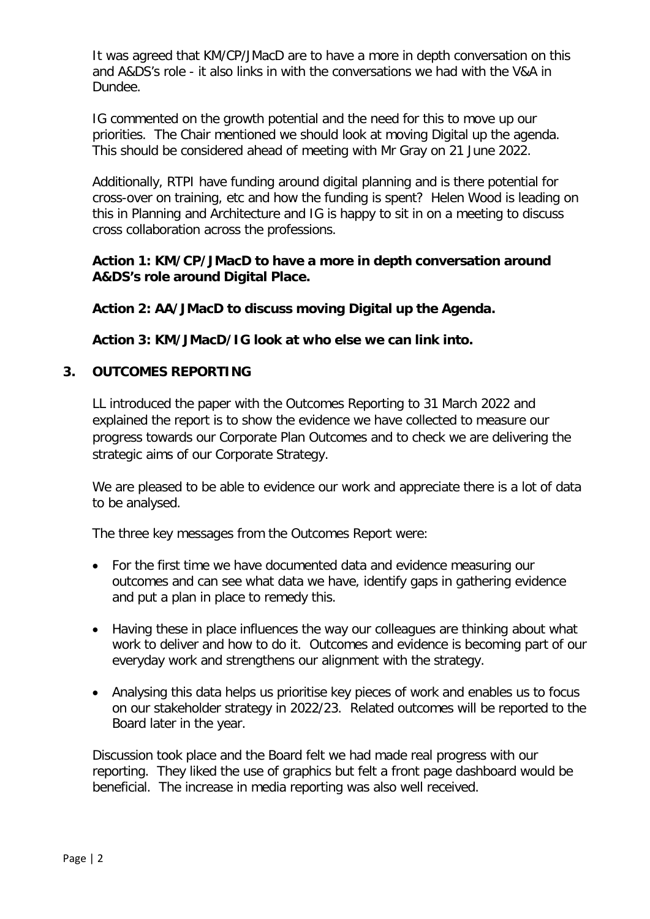It was agreed that KM/CP/JMacD are to have a more in depth conversation on this and A&DS's role - it also links in with the conversations we had with the V&A in Dundee.

IG commented on the growth potential and the need for this to move up our priorities. The Chair mentioned we should look at moving Digital up the agenda. This should be considered ahead of meeting with Mr Gray on 21 June 2022.

Additionally, RTPI have funding around digital planning and is there potential for cross-over on training, etc and how the funding is spent? Helen Wood is leading on this in Planning and Architecture and IG is happy to sit in on a meeting to discuss cross collaboration across the professions.

# **Action 1: KM/CP/JMacD to have a more in depth conversation around A&DS's role around Digital Place.**

**Action 2: AA/JMacD to discuss moving Digital up the Agenda.** 

**Action 3: KM/JMacD/IG look at who else we can link into.** 

# **3. OUTCOMES REPORTING**

LL introduced the paper with the Outcomes Reporting to 31 March 2022 and explained the report is to show the evidence we have collected to measure our progress towards our Corporate Plan Outcomes and to check we are delivering the strategic aims of our Corporate Strategy.

We are pleased to be able to evidence our work and appreciate there is a lot of data to be analysed.

The three key messages from the Outcomes Report were:

- For the first time we have documented data and evidence measuring our outcomes and can see what data we have, identify gaps in gathering evidence and put a plan in place to remedy this.
- Having these in place influences the way our colleagues are thinking about what work to deliver and how to do it. Outcomes and evidence is becoming part of our everyday work and strengthens our alignment with the strategy.
- Analysing this data helps us prioritise key pieces of work and enables us to focus on our stakeholder strategy in 2022/23. Related outcomes will be reported to the Board later in the year.

Discussion took place and the Board felt we had made real progress with our reporting. They liked the use of graphics but felt a front page dashboard would be beneficial. The increase in media reporting was also well received.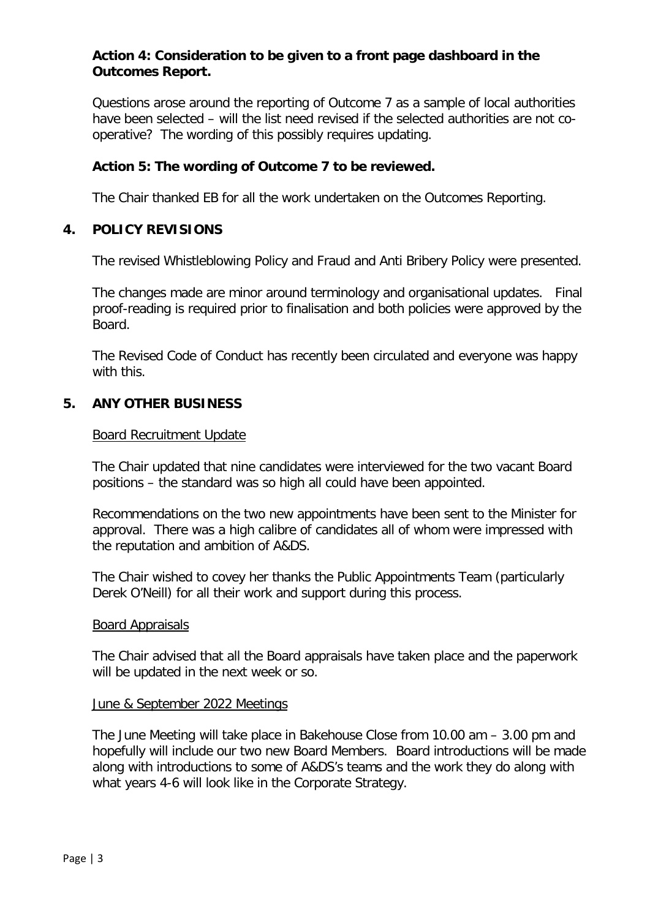# **Action 4: Consideration to be given to a front page dashboard in the Outcomes Report.**

Questions arose around the reporting of Outcome 7 as a sample of local authorities have been selected – will the list need revised if the selected authorities are not cooperative? The wording of this possibly requires updating.

# **Action 5: The wording of Outcome 7 to be reviewed.**

The Chair thanked EB for all the work undertaken on the Outcomes Reporting.

# **4. POLICY REVISIONS**

The revised Whistleblowing Policy and Fraud and Anti Bribery Policy were presented.

The changes made are minor around terminology and organisational updates. Final proof-reading is required prior to finalisation and both policies were approved by the Board.

The Revised Code of Conduct has recently been circulated and everyone was happy with this.

# **5. ANY OTHER BUSINESS**

### Board Recruitment Update

The Chair updated that nine candidates were interviewed for the two vacant Board positions – the standard was so high all could have been appointed.

Recommendations on the two new appointments have been sent to the Minister for approval. There was a high calibre of candidates all of whom were impressed with the reputation and ambition of A&DS.

The Chair wished to covey her thanks the Public Appointments Team (particularly Derek O'Neill) for all their work and support during this process.

### Board Appraisals

The Chair advised that all the Board appraisals have taken place and the paperwork will be updated in the next week or so.

### June & September 2022 Meetings

The June Meeting will take place in Bakehouse Close from 10.00 am – 3.00 pm and hopefully will include our two new Board Members. Board introductions will be made along with introductions to some of A&DS's teams and the work they do along with what years 4-6 will look like in the Corporate Strategy.